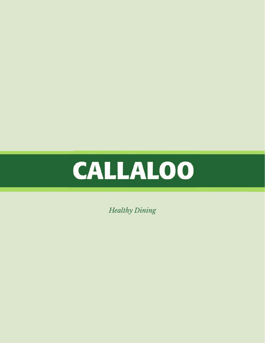

*Healthy Dining*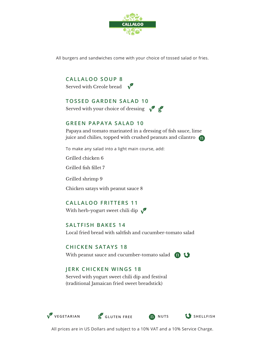

All burgers and sandwiches come with your choice of tossed salad or fries.

**CALLALOO SOUP 8** Served with Creole bread  $\sqrt{\phantom{a}}$ 

## **TOSSED GARDEN SALAD 10**

Served with your choice of dressing  $\sqrt{2}$ 

# **GREEN PAPAYA SALAD 10**

Papaya and tomato marinated in a dressing of fish sauce, lime juice and chilies, topped with crushed peanuts and cilantro n

To make any salad into a light main course, add:

Grilled chicken 6

Grilled fish fillet 7

Grilled shrimp 9

Chicken satays with peanut sauce 8

**CALLALOO FRITTERS 11** With herb-yogurt sweet chili dip  $\sqrt{\ }$ 

#### **SALTFISH BAKES 14**

Local fried bread with saltfish and cucumber-tomato salad

### **CHICKEN SATAYS 18**

With peanut sauce and cucumber-tomato salad (**n** 

# **JERK CHICKEN WINGS 18**

Served with yogurt sweet chili dip and festival (traditional Jamaican fried sweet breadstick)







All prices are in US Dollars and subject to a 10% VAT and a 10% Service Charge.